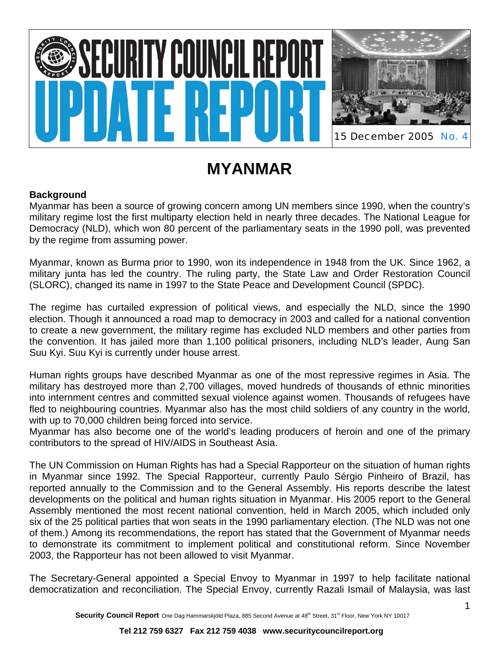# IRITY COUNCIL RE



# **MYANMAR**

## **Background**

Myanmar has been a source of growing concern among UN members since 1990, when the country's military regime lost the first multiparty election held in nearly three decades. The National League for Democracy (NLD), which won 80 percent of the parliamentary seats in the 1990 poll, was prevented by the regime from assuming power.

Myanmar, known as Burma prior to 1990, won its independence in 1948 from the UK. Since 1962, a military junta has led the country. The ruling party, the State Law and Order Restoration Council (SLORC), changed its name in 1997 to the State Peace and Development Council (SPDC).

The regime has curtailed expression of political views, and especially the NLD, since the 1990 election. Though it announced a road map to democracy in 2003 and called for a national convention to create a new government, the military regime has excluded NLD members and other parties from the convention. It has jailed more than 1,100 political prisoners, including NLD's leader, Aung San Suu Kyi. Suu Kyi is currently under house arrest.

Human rights groups have described Myanmar as one of the most repressive regimes in Asia. The military has destroyed more than 2,700 villages, moved hundreds of thousands of ethnic minorities into internment centres and committed sexual violence against women. Thousands of refugees have fled to neighbouring countries. Myanmar also has the most child soldiers of any country in the world, with up to 70,000 children being forced into service.

Myanmar has also become one of the world's leading producers of heroin and one of the primary contributors to the spread of HIV/AIDS in Southeast Asia.

The UN Commission on Human Rights has had a Special Rapporteur on the situation of human rights in Myanmar since 1992. The Special Rapporteur, currently Paulo Sérgio Pinheiro of Brazil, has reported annually to the Commission and to the General Assembly. His reports describe the latest developments on the political and human rights situation in Myanmar. His 2005 report to the General Assembly mentioned the most recent national convention, held in March 2005, which included only six of the 25 political parties that won seats in the 1990 parliamentary election. (The NLD was not one of them.) Among its recommendations, the report has stated that the Government of Myanmar needs to demonstrate its commitment to implement political and constitutional reform. Since November 2003, the Rapporteur has not been allowed to visit Myanmar.

The Secretary-General appointed a Special Envoy to Myanmar in 1997 to help facilitate national democratization and reconciliation. The Special Envoy, currently Razali Ismail of Malaysia, was last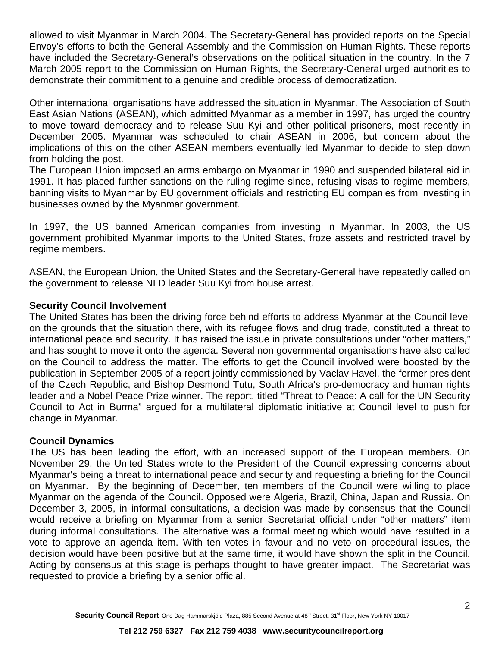allowed to visit Myanmar in March 2004. The Secretary-General has provided reports on the Special Envoy's efforts to both the General Assembly and the Commission on Human Rights. These reports have included the Secretary-General's observations on the political situation in the country. In the 7 March 2005 report to the Commission on Human Rights, the Secretary-General urged authorities to demonstrate their commitment to a genuine and credible process of democratization.

Other international organisations have addressed the situation in Myanmar. The Association of South East Asian Nations (ASEAN), which admitted Myanmar as a member in 1997, has urged the country to move toward democracy and to release Suu Kyi and other political prisoners, most recently in December 2005. Myanmar was scheduled to chair ASEAN in 2006, but concern about the implications of this on the other ASEAN members eventually led Myanmar to decide to step down from holding the post.

The European Union imposed an arms embargo on Myanmar in 1990 and suspended bilateral aid in 1991. It has placed further sanctions on the ruling regime since, refusing visas to regime members, banning visits to Myanmar by EU government officials and restricting EU companies from investing in businesses owned by the Myanmar government.

In 1997, the US banned American companies from investing in Myanmar. In 2003, the US government prohibited Myanmar imports to the United States, froze assets and restricted travel by regime members.

ASEAN, the European Union, the United States and the Secretary-General have repeatedly called on the government to release NLD leader Suu Kyi from house arrest.

### **Security Council Involvement**

The United States has been the driving force behind efforts to address Myanmar at the Council level on the grounds that the situation there, with its refugee flows and drug trade, constituted a threat to international peace and security. It has raised the issue in private consultations under "other matters," and has sought to move it onto the agenda. Several non governmental organisations have also called on the Council to address the matter. The efforts to get the Council involved were boosted by the publication in September 2005 of a report jointly commissioned by Vaclav Havel, the former president of the Czech Republic, and Bishop Desmond Tutu, South Africa's pro-democracy and human rights leader and a Nobel Peace Prize winner. The report, titled "Threat to Peace: A call for the UN Security Council to Act in Burma" argued for a multilateral diplomatic initiative at Council level to push for change in Myanmar.

### **Council Dynamics**

The US has been leading the effort, with an increased support of the European members. On November 29, the United States wrote to the President of the Council expressing concerns about Myanmar's being a threat to international peace and security and requesting a briefing for the Council on Myanmar. By the beginning of December, ten members of the Council were willing to place Myanmar on the agenda of the Council. Opposed were Algeria, Brazil, China, Japan and Russia. On December 3, 2005, in informal consultations, a decision was made by consensus that the Council would receive a briefing on Myanmar from a senior Secretariat official under "other matters" item during informal consultations. The alternative was a formal meeting which would have resulted in a vote to approve an agenda item. With ten votes in favour and no veto on procedural issues, the decision would have been positive but at the same time, it would have shown the split in the Council. Acting by consensus at this stage is perhaps thought to have greater impact. The Secretariat was requested to provide a briefing by a senior official.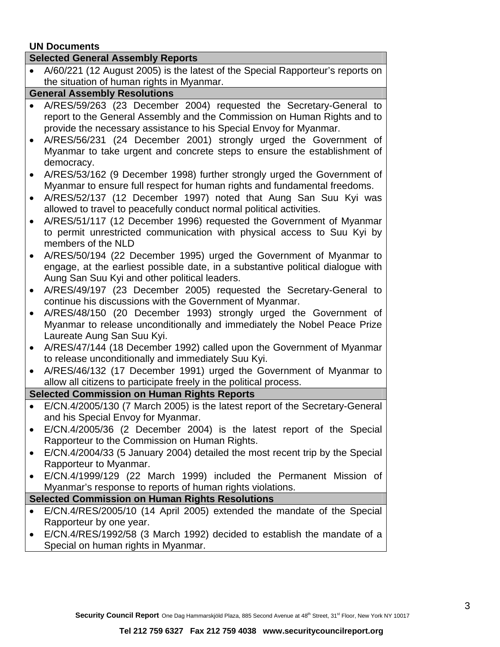### **UN Documents**

| <b>UN Documents</b>                                    |                                                                                                                                                                                                                         |
|--------------------------------------------------------|-------------------------------------------------------------------------------------------------------------------------------------------------------------------------------------------------------------------------|
| <b>Selected General Assembly Reports</b>               |                                                                                                                                                                                                                         |
|                                                        | A/60/221 (12 August 2005) is the latest of the Special Rapporteur's reports on                                                                                                                                          |
|                                                        | the situation of human rights in Myanmar.                                                                                                                                                                               |
| <b>General Assembly Resolutions</b>                    |                                                                                                                                                                                                                         |
|                                                        | A/RES/59/263 (23 December 2004) requested the Secretary-General to<br>report to the General Assembly and the Commission on Human Rights and to<br>provide the necessary assistance to his Special Envoy for Myanmar.    |
|                                                        | A/RES/56/231 (24 December 2001) strongly urged the Government of<br>Myanmar to take urgent and concrete steps to ensure the establishment of<br>democracy.                                                              |
| $\bullet$<br>$\bullet$                                 | A/RES/53/162 (9 December 1998) further strongly urged the Government of<br>Myanmar to ensure full respect for human rights and fundamental freedoms.<br>A/RES/52/137 (12 December 1997) noted that Aung San Suu Kyi was |
|                                                        | allowed to travel to peacefully conduct normal political activities.<br>A/RES/51/117 (12 December 1996) requested the Government of Myanmar                                                                             |
| $\bullet$                                              | to permit unrestricted communication with physical access to Suu Kyi by<br>members of the NLD                                                                                                                           |
| $\bullet$                                              | A/RES/50/194 (22 December 1995) urged the Government of Myanmar to<br>engage, at the earliest possible date, in a substantive political dialogue with<br>Aung San Suu Kyi and other political leaders.                  |
| $\bullet$                                              | A/RES/49/197 (23 December 2005) requested the Secretary-General to<br>continue his discussions with the Government of Myanmar.                                                                                          |
| $\bullet$                                              | A/RES/48/150 (20 December 1993) strongly urged the Government of<br>Myanmar to release unconditionally and immediately the Nobel Peace Prize<br>Laureate Aung San Suu Kyi.                                              |
| $\bullet$                                              | A/RES/47/144 (18 December 1992) called upon the Government of Myanmar<br>to release unconditionally and immediately Suu Kyi.                                                                                            |
| $\bullet$                                              | A/RES/46/132 (17 December 1991) urged the Government of Myanmar to<br>allow all citizens to participate freely in the political process.                                                                                |
| <b>Selected Commission on Human Rights Reports</b>     |                                                                                                                                                                                                                         |
|                                                        | E/CN.4/2005/130 (7 March 2005) is the latest report of the Secretary-General<br>and his Special Envoy for Myanmar.                                                                                                      |
|                                                        | E/CN.4/2005/36 (2 December 2004) is the latest report of the Special<br>Rapporteur to the Commission on Human Rights.                                                                                                   |
| $\bullet$                                              | E/CN.4/2004/33 (5 January 2004) detailed the most recent trip by the Special<br>Rapporteur to Myanmar.                                                                                                                  |
| $\bullet$                                              | E/CN.4/1999/129 (22 March 1999) included the Permanent Mission of<br>Myanmar's response to reports of human rights violations.                                                                                          |
| <b>Selected Commission on Human Rights Resolutions</b> |                                                                                                                                                                                                                         |
|                                                        |                                                                                                                                                                                                                         |
|                                                        | E/CN.4/RES/2005/10 (14 April 2005) extended the mandate of the Special<br>Rapporteur by one year.                                                                                                                       |
|                                                        | E/CN.4/RES/1992/58 (3 March 1992) decided to establish the mandate of a                                                                                                                                                 |

Special on human rights in Myanmar.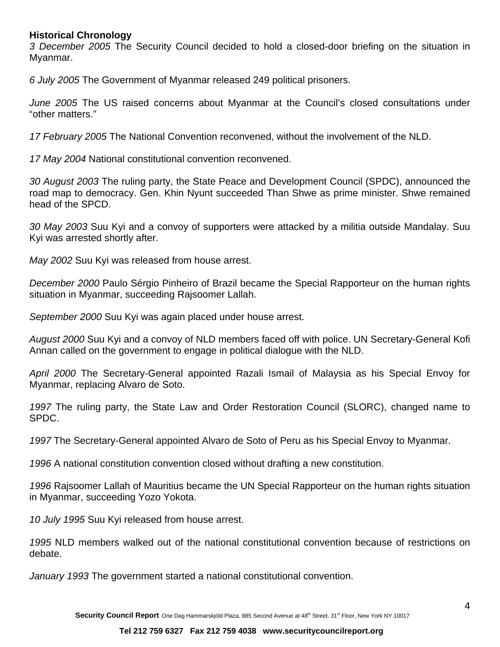### **Historical Chronology**

*3 December 2005* The Security Council decided to hold a closed-door briefing on the situation in Myanmar.

*6 July 2005* The Government of Myanmar released 249 political prisoners.

*June 2005* The US raised concerns about Myanmar at the Council's closed consultations under "other matters."

*17 February 2005* The National Convention reconvened, without the involvement of the NLD.

*17 May 2004* National constitutional convention reconvened.

*30 August 2003* The ruling party, the State Peace and Development Council (SPDC), announced the road map to democracy. Gen. Khin Nyunt succeeded Than Shwe as prime minister. Shwe remained head of the SPCD.

*30 May 2003* Suu Kyi and a convoy of supporters were attacked by a militia outside Mandalay. Suu Kyi was arrested shortly after.

*May 2002* Suu Kyi was released from house arrest.

*December 2000* Paulo Sérgio Pinheiro of Brazil became the Special Rapporteur on the human rights situation in Myanmar, succeeding Rajsoomer Lallah.

*September 2000* Suu Kyi was again placed under house arrest.

*August 2000* Suu Kyi and a convoy of NLD members faced off with police. UN Secretary-General Kofi Annan called on the government to engage in political dialogue with the NLD.

*April 2000* The Secretary-General appointed Razali Ismail of Malaysia as his Special Envoy for Myanmar, replacing Alvaro de Soto.

*1997* The ruling party, the State Law and Order Restoration Council (SLORC), changed name to SPDC.

*1997* The Secretary-General appointed Alvaro de Soto of Peru as his Special Envoy to Myanmar.

*1996* A national constitution convention closed without drafting a new constitution.

*1996* Rajsoomer Lallah of Mauritius became the UN Special Rapporteur on the human rights situation in Myanmar, succeeding Yozo Yokota.

*10 July 1995* Suu Kyi released from house arrest.

*1995* NLD members walked out of the national constitutional convention because of restrictions on debate.

*January 1993* The government started a national constitutional convention.